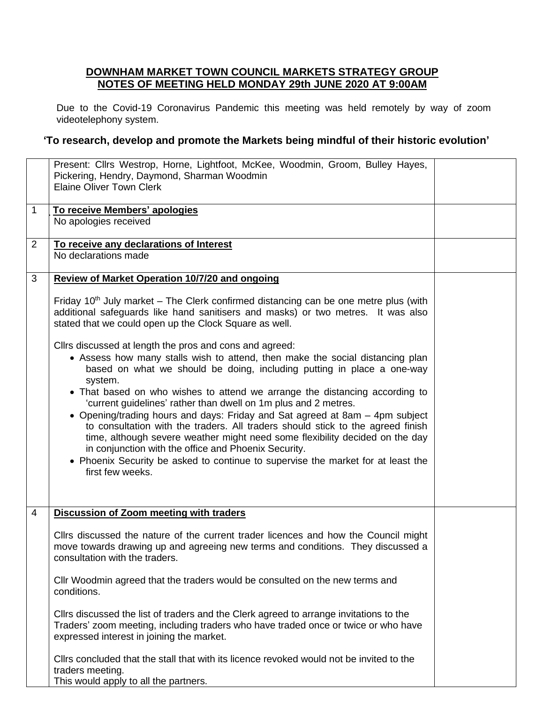## **DOWNHAM MARKET TOWN COUNCIL MARKETS STRATEGY GROUP NOTES OF MEETING HELD MONDAY 29th JUNE 2020 AT 9:00AM**

Due to the Covid-19 Coronavirus Pandemic this meeting was held remotely by way of zoom videotelephony system.

## **'To research, develop and promote the Markets being mindful of their historic evolution'**

|                | Present: Cllrs Westrop, Horne, Lightfoot, McKee, Woodmin, Groom, Bulley Hayes,<br>Pickering, Hendry, Daymond, Sharman Woodmin<br><b>Elaine Oliver Town Clerk</b>                                                                                                                                                                                                                                                                                                                                                                                                                                                                                                                                                                                                                                   |  |
|----------------|----------------------------------------------------------------------------------------------------------------------------------------------------------------------------------------------------------------------------------------------------------------------------------------------------------------------------------------------------------------------------------------------------------------------------------------------------------------------------------------------------------------------------------------------------------------------------------------------------------------------------------------------------------------------------------------------------------------------------------------------------------------------------------------------------|--|
| 1              | To receive Members' apologies<br>No apologies received                                                                                                                                                                                                                                                                                                                                                                                                                                                                                                                                                                                                                                                                                                                                             |  |
| $\overline{2}$ | To receive any declarations of Interest<br>No declarations made                                                                                                                                                                                                                                                                                                                                                                                                                                                                                                                                                                                                                                                                                                                                    |  |
| 3              | Review of Market Operation 10/7/20 and ongoing                                                                                                                                                                                                                                                                                                                                                                                                                                                                                                                                                                                                                                                                                                                                                     |  |
|                | Friday 10 <sup>th</sup> July market – The Clerk confirmed distancing can be one metre plus (with<br>additional safeguards like hand sanitisers and masks) or two metres. It was also<br>stated that we could open up the Clock Square as well.                                                                                                                                                                                                                                                                                                                                                                                                                                                                                                                                                     |  |
|                | Cllrs discussed at length the pros and cons and agreed:<br>• Assess how many stalls wish to attend, then make the social distancing plan<br>based on what we should be doing, including putting in place a one-way<br>system.<br>• That based on who wishes to attend we arrange the distancing according to<br>'current guidelines' rather than dwell on 1m plus and 2 metres.<br>• Opening/trading hours and days: Friday and Sat agreed at 8am - 4pm subject<br>to consultation with the traders. All traders should stick to the agreed finish<br>time, although severe weather might need some flexibility decided on the day<br>in conjunction with the office and Phoenix Security.<br>• Phoenix Security be asked to continue to supervise the market for at least the<br>first few weeks. |  |
| $\overline{4}$ | Discussion of Zoom meeting with traders                                                                                                                                                                                                                                                                                                                                                                                                                                                                                                                                                                                                                                                                                                                                                            |  |
|                | Cllrs discussed the nature of the current trader licences and how the Council might<br>move towards drawing up and agreeing new terms and conditions. They discussed a<br>consultation with the traders.                                                                                                                                                                                                                                                                                                                                                                                                                                                                                                                                                                                           |  |
|                | CIIr Woodmin agreed that the traders would be consulted on the new terms and<br>conditions.                                                                                                                                                                                                                                                                                                                                                                                                                                                                                                                                                                                                                                                                                                        |  |
|                | Cllrs discussed the list of traders and the Clerk agreed to arrange invitations to the<br>Traders' zoom meeting, including traders who have traded once or twice or who have<br>expressed interest in joining the market.                                                                                                                                                                                                                                                                                                                                                                                                                                                                                                                                                                          |  |
|                | Cllrs concluded that the stall that with its licence revoked would not be invited to the<br>traders meeting.<br>This would apply to all the partners.                                                                                                                                                                                                                                                                                                                                                                                                                                                                                                                                                                                                                                              |  |